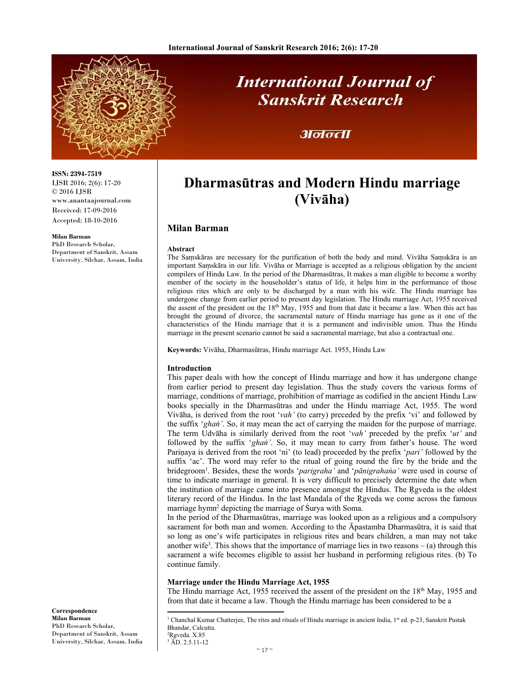

# **International Journal of Sanskrit Research**

### अनन्ता

#### **ISSN: 2394-7519** IJSR 2016; 2(6): 17-20 © 2016 IJSR www.anantaajournal.com Received: 17-09-2016 Accepted: 18-10-2016

#### **Milan Barman**

**Correspondence Milan Barman**  PhD Research Scholar, Department of Sanskrit, Assam University, Silchar, Assam, India

PhD Research Scholar, Department of Sanskrit, Assam University, Silchar, Assam, India

## **Dharmasūtras and Modern Hindu marriage (Vivāha)**

#### **Milan Barman**

#### **Abstract**

The Saṃskāras are necessary for the purification of both the body and mind. Vivāha Saṃskāra is an important Saṃskāra in our life. Vivāha or Marriage is accepted as a religious obligation by the ancient compilers of Hindu Law. In the period of the Dharmasūtras, It makes a man eligible to become a worthy member of the society in the householder's status of life, it helps him in the performance of those religious rites which are only to be discharged by a man with his wife. The Hindu marriage has undergone change from earlier period to present day legislation. The Hindu marriage Act, 1955 received the assent of the president on the  $18<sup>th</sup>$  May, 1955 and from that date it became a law. When this act has brought the ground of divorce, the sacramental nature of Hindu marriage has gone as it one of the characteristics of the Hindu marriage that it is a permanent and indivisible union. Thus the Hindu marriage in the present scenario cannot be said a sacramental marriage, but also a contractual one.

**Keywords:** Vivāha, Dharmasūtras, Hindu marriage Act. 1955, Hindu Law

#### **Introduction**

This paper deals with how the concept of Hindu marriage and how it has undergone change from earlier period to present day legislation. Thus the study covers the various forms of marriage, conditions of marriage, prohibition of marriage as codified in the ancient Hindu Law books specially in the Dharmasūtras and under the Hindu marriage Act, 1955. The word Vivāha, is derived from the root '*vah'* (to carry) preceded by the prefix 'vi' and followed by the suffix '*ghaṅ'*. So, it may mean the act of carrying the maiden for the purpose of marriage. The term Udvāha is similarly derived from the root '*vah'* preceded by the prefix '*ut'* and followed by the suffix '*ghaṅ'*. So, it may mean to carry from father's house. The word Pariṇaya is derived from the root 'ni' (to lead) proceeded by the prefix '*pari'* followed by the suffix 'ac'. The word may refer to the ritual of going round the fire by the bride and the bridegroom1 . Besides, these the words '*parigraha'* and '*pānigrahaṅa'* were used in course of time to indicate marriage in general. It is very difficult to precisely determine the date when the institution of marriage came into presence amongst the Hindus. The Rgveda is the oldest literary record of the Hindus. In the last Mandala of the Ṛgveda we come across the famous marriage hymn<sup>2</sup> depicting the marriage of Śurya with Soma.

In the period of the Dharmasūtras, marriage was looked upon as a religious and a compulsory sacrament for both man and women. According to the Āpastamba Dharmasūtra, it is said that so long as one's wife participates in religious rites and bears children, a man may not take another wife<sup>3</sup>. This shows that the importance of marriage lies in two reasons  $-(a)$  through this sacrament a wife becomes eligible to assist her husband in performing religious rites. (b) To continue family.

#### **Marriage under the Hindu Marriage Act, 1955**

The Hindu marriage Act, 1955 received the assent of the president on the 18<sup>th</sup> May, 1955 and from that date it became a law. Though the Hindu marriage has been considered to be a

<sup>1</sup> Chanchal Kumar Chatterjee, The rites and rituals of Hindu marriage in ancient India, 1<sup>st</sup> ed. p-23, Sanskrit Pustak Bhandar, Calcutta.

<sup>2</sup>Rgveda. X.85 3 ĀD. 2.5.11-12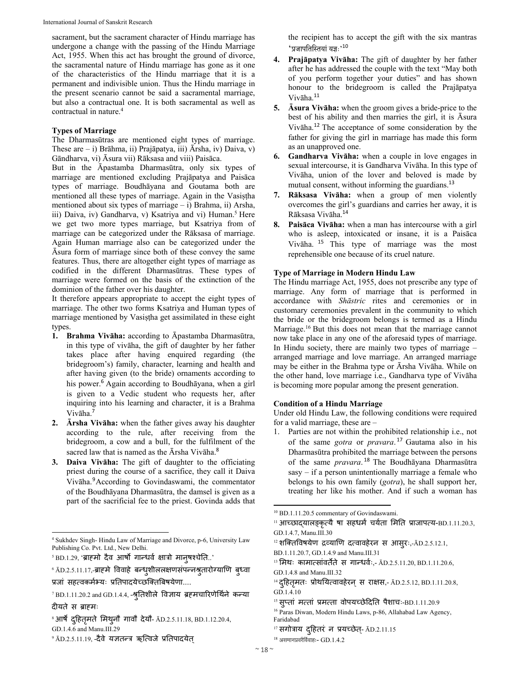sacrament, but the sacrament character of Hindu marriage has undergone a change with the passing of the Hindu Marriage Act, 1955. When this act has brought the ground of divorce, the sacramental nature of Hindu marriage has gone as it one of the characteristics of the Hindu marriage that it is a permanent and indivisible union. Thus the Hindu marriage in the present scenario cannot be said a sacramental marriage, but also a contractual one. It is both sacramental as well as contractual in nature.4

#### **Types of Marriage**

The Dharmasūtras are mentioned eight types of marriage. These are – i) Brāhma, ii) Prajāpatya, iii) Ārsha, iv) Daiva, v) Gāndharva, vi) Āsura vii) Rāksasa and viii) Paisāca.

But in the Āpastamba Dharmasūtra, only six types of marriage are mentioned excluding Prajāpatya and Paisāca types of marriage. Boudhāyana and Goutama both are mentioned all these types of marriage. Again in the Vasiṣṭha mentioned about six types of marriage – i) Brahma, ii) Arsha, iii) Daiva, iv) Gandharva, v) Ksatriya and vi) Human.<sup>5</sup> Here we get two more types marriage, but Ksatriya from of marriage can be categorized under the Rāksasa of marriage. Again Human marriage also can be categorized under the Āsura form of marriage since both of these convey the same features. Thus, there are altogether eight types of marriage as codified in the different Dharmasūtras. These types of marriage were formed on the basis of the extinction of the dominion of the father over his daughter.

It therefore appears appropriate to accept the eight types of marriage. The other two forms Ksatriya and Human types of marriage mentioned by Vasiṣṭha get assimilated in these eight types.

- **1. Brahma Vivāha:** according to Āpastamba Dharmasūtra, in this type of vivāha, the gift of daughter by her father takes place after having enquired regarding (the bridegroom's) family, character, learning and health and after having given (to the bride) ornaments according to his power.<sup>6</sup> Again according to Boudhāyana, when a girl is given to a Vedic student who requests her, after inquiring into his learning and character, it is a Brahma Vivāha.<sup>7</sup>
- **2. Ārsha Vivāha:** when the father gives away his daughter according to the rule, after receiving from the bridegroom, a cow and a bull, for the fulfilment of the sacred law that is named as the Ārsha Vivāha.<sup>8</sup>
- **3. Daiva Vivāha:** The gift of daughter to the officiating priest during the course of a sacrifice, they call it Daiva Vivāha.<sup>9</sup>According to Govindaswami, the commentator of the Boudhāyana Dharmasūtra, the damsel is given as a part of the sacrificial fee to the priest. Govinda adds that

 4 Sukhdev Singh- Hindu Law of Marriage and Divorce, p-6, University Law Publishing Co. Pvt. Ltd., New Delhi.

<sup>5</sup> BD.1.29, 'ब्राहमो दैव आर्षो गान्धवे क्षात्रो मानुषश्चेति..'

' ĀD.2.5.11.17,-ब्राहमे विवाहे बन्धुशीललक्षणसपन्नश्रुतारोग्याणि बुध्वा प्रजां सहत्वकर्मभ्यः प्रतिपादयेच्छक्तिबिषयेणा....

the recipient has to accept the gift with the six mantras  $\lq$ 'प्रजापतिस्तियां यज्ञः' $^{10}$ 

- **4. Prajāpatya Vivāha:** The gift of daughter by her father after he has addressed the couple with the text "May both of you perform together your duties" and has shown honour to the bridegroom is called the Prajāpatya Vivāha.<sup>11</sup>
- **5. Āsura Vivāha:** when the groom gives a bride-price to the best of his ability and then marries the girl, it is Āsura Vivāha.12 The acceptance of some consideration by the father for giving the girl in marriage has made this form as an unapproved one.
- **6. Gandharva Vivāha:** when a couple in love engages in sexual intercourse, it is Gandharva Vivāha. In this type of Vivāha, union of the lover and beloved is made by mutual consent, without informing the guardians.<sup>13</sup>
- **7. Rāksasa Vivāha:** when a group of men violently overcomes the girl's guardians and carries her away, it is Rāksasa Vivāha.<sup>14</sup>
- **8. Paisāca Vivāha:** when a man has intercourse with a girl who is asleep, intoxicated or insane, it is a Paisāca Vivāha. <sup>15</sup> This type of marriage was the most reprehensible one because of its cruel nature.

#### **Type of Marriage in Modern Hindu Law**

The Hindu marriage Act, 1955, does not prescribe any type of marriage. Any form of marriage that is performed in accordance with *Shāstric* rites and ceremonies or in customary ceremonies prevalent in the community to which the bride or the bridegroom belongs is termed as a Hindu Marriage.16 But this does not mean that the marriage cannot now take place in any one of the aforesaid types of marriage. In Hindu society, there are mainly two types of marriage – arranged marriage and love marriage. An arranged marriage may be either in the Brahma type or Ārsha Vivāha. While on the other hand, love marriage i.e., Gandharva type of Vivāha is becoming more popular among the present generation.

#### **Condition of a Hindu Marriage**

Under old Hindu Law, the following conditions were required for a valid marriage, these are –

1. Parties are not within the prohibited relationship i.e., not of the same *gotra* or *pravara*. <sup>17</sup> Gautama also in his Dharmasūtra prohibited the marriage between the persons of the same *pravara*. <sup>18</sup> The Boudhāyana Dharmasūtra sasy – if a person unintentionally marriage a female who belongs to his own family (*gotra*), he shall support her, treating her like his mother. And if such a woman has

 10 BD.1.11.20.5 commentary of Govindaswami.

 $^7$ BD.1.11.20.2 and GD.1.4.4, -श्रुतिशीले विज्ञाय ब्रहमचारिणेथिने कन्या

दीयते स ब्राéमः

<sup>ै</sup> आर्षै दुहितृमते मिथुनौ गावौ देयौ- ĀD.2.5.11.18, BD.1.12.20.4, GD.1.4.6 and Manu.III.29

<sup>&</sup>lt;sup>9</sup> ĀD.2.5.11.19, -दैवे यज्ञतन्त्र ऋत्विजे प्रतिपादयेत्

 $11$  आच्छाद्यालङ्कृत्यै षा सहधर्म चर्यता मिति प्राजापत्य-BD.1.11.20.3, GD.1.4.7, Manu.III.30

<sup>12</sup> शक्तिविषयेण द्रव्याणि दत्वावहेरन स आसुरः,-ĀD.2.5.12.1,

BD.1.11.20.7, GD.1.4.9 and Manu.III.31

<sup>&</sup>lt;sup>13</sup> मिथः कामात्सांवर्तते स गान्धर्वः,- AD.2.5.11.20, BD.1.11.20.6, GD.1.4.8 and Manu.III.32

<sup>&#</sup>x27;<del>'</del> दुहितृमतः प्रोथयित्वावहेरन् स राक्षस,- ĀD.2.5.12, BD.1.11.20.8, GD.1.4.10

 $15$  सुप्तां मत्तां प्रमत्ता वोपयच्छेदिति पैशाचः-BD.1.11.20.9

<sup>&</sup>lt;sup>16</sup> Paras Diwan, Modern Hindu Laws, p-86, Allahabad Law Agency, Faridabad

 $^{17}$  सगोत्राय दुहितरं न प्रयच्छेत्- ĀD.2.11.15

 $18$  असमानप्रवरैर्विवाहः-  $GD.1.4.2$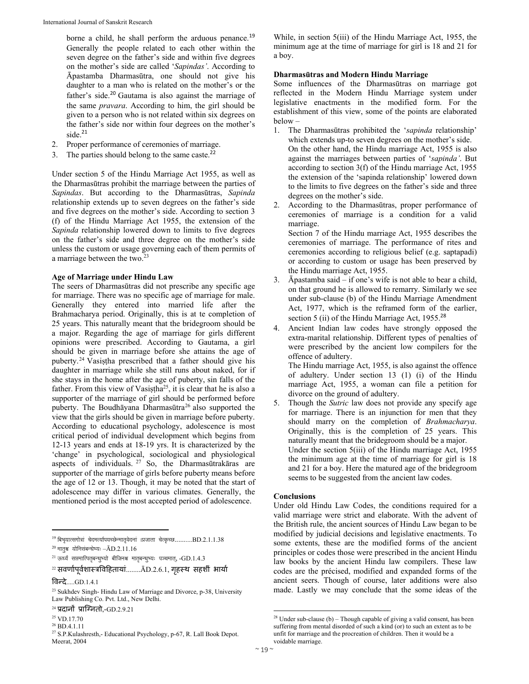borne a child, he shall perform the arduous penance.<sup>19</sup> Generally the people related to each other within the seven degree on the father's side and within five degrees on the mother's side are called '*Sapindas'*. According to Āpastamba Dharmasūtra, one should not give his daughter to a man who is related on the mother's or the father's side.<sup>20</sup> Gautama is also against the marriage of the same *pravara*. According to him, the girl should be given to a person who is not related within six degrees on the father's side nor within four degrees on the mother's side. $21$ 

- 2. Proper performance of ceremonies of marriage.
- 3. The parties should belong to the same caste. $22$

Under section 5 of the Hindu Marriage Act 1955, as well as the Dharmasūtras prohibit the marriage between the parties of *Sapindas*. But according to the Dharmasūtras, *Sapinda* relationship extends up to seven degrees on the father's side and five degrees on the mother's side. According to section 3 (f) of the Hindu Marriage Act 1955, the extension of the *Sapinda* relationship lowered down to limits to five degrees on the father's side and three degree on the mother's side unless the custom or usage governing each of them permits of a marriage between the two.23

#### **Age of Marriage under Hindu Law**

The seers of Dharmasūtras did not prescribe any specific age for marriage. There was no specific age of marriage for male. Generally they entered into married life after the Brahmacharya period. Originally, this is at te completion of 25 years. This naturally meant that the bridegroom should be a major. Regarding the age of marriage for girls different opinions were prescribed. According to Gautama, a girl should be given in marriage before she attains the age of puberty.24 Vasiṣṭha prescribed that a father should give his daughter in marriage while she still runs about naked, for if she stays in the home after the age of puberty, sin falls of the father. From this view of Vasistha<sup>25</sup>, it is clear that he is also a supporter of the marriage of girl should be performed before puberty. The Boudhāyana Dharmasūtra<sup>26</sup> also supported the view that the girls should be given in marriage before puberty. According to educational psychology, adolescence is most critical period of individual development which begins from 12-13 years and ends at 18-19 yrs. It is characterized by the 'change' in psychological, sociological and physiological aspects of individuals. 27 So, the Dharmasūtrakāras are supporter of the marriage of girls before puberty means before the age of 12 or 13. Though, it may be noted that the start of adolescence may differ in various climates. Generally, the mentioned period is the most accepted period of adolescence.

 $^{19}$  बिभृयात्सगोत्रां चेदमर्त्यापयच्छेन्मातृवेदनां ।प्रजाता चेत्कृच्छ..........BD.2.1.1.38

 $^{22}$  सवणोपूर्वशास्त्रविहितायां........ $\rm \bar{A}D.2.6.1$ , गृहस्थ सहशी भायो

विन्दे $\dots$ GD.1.4.1

27 S.P.Kulashresth,- Educational Psychology, p-67, R. Lall Book Depot. Meerat, 2004

While, in section 5(iii) of the Hindu Marriage Act, 1955, the minimum age at the time of marriage for girl is 18 and 21 for a boy.

#### **Dharmasūtras and Modern Hindu Marriage**

Some influences of the Dharmasūtras on marriage got reflected in the Modern Hindu Marriage system under legislative enactments in the modified form. For the establishment of this view, some of the points are elaborated below –

- 1. The Dharmasūtras prohibited the '*sapinda* relationship' which extends up-to seven degrees on the mother's side. On the other hand, the Hindu marriage Act, 1955 is also against the marriages between parties of '*sapinda'*. But according to section 3(f) of the Hindu marriage Act, 1955 the extension of the 'sapinda relationship' lowered down to the limits to five degrees on the father's side and three degrees on the mother's side.
- 2. According to the Dharmasūtras, proper performance of ceremonies of marriage is a condition for a valid marriage. Section 7 of the Hindu marriage Act, 1955 describes the

ceremonies of marriage. The performance of rites and ceremonies according to religious belief (e.g. saptapadi) or according to custom or usage has been preserved by the Hindu marriage Act, 1955.

- 3. Āpastamba said if one's wife is not able to bear a child, on that ground he is allowed to remarry. Similarly we see under sub-clause (b) of the Hindu Marriage Amendment Act, 1977, which is the reframed form of the earlier, section 5 (ii) of the Hindu Marriage Act, 1955.<sup>28</sup>
- 4. Ancient Indian law codes have strongly opposed the extra-marital relationship. Different types of penalties of were prescribed by the ancient low compilers for the offence of adultery.

The Hindu marriage Act, 1955, is also against the offence of adultery. Under section 13 (1) (i) of the Hindu marriage Act, 1955, a woman can file a petition for divorce on the ground of adultery.

Though the *Sutric* law does not provide any specify age for marriage. There is an injunction for men that they should marry on the completion of *Brahmacharya*. Originally, this is the completion of 25 years. This naturally meant that the bridegroom should be a major. Under the section 5(iii) of the Hindu marriage Act, 1955 the minimum age at the time of marriage for girl is 18 and 21 for a boy. Here the matured age of the bridegroom seems to be suggested from the ancient law codes.

#### **Conclusions**

Under old Hindu Law Codes, the conditions required for a valid marriage were strict and elaborate. With the advent of the British rule, the ancient sources of Hindu Law began to be modified by judicial decisions and legislative enactments. To some extents, these are the modified forms of the ancient principles or codes those were prescribed in the ancient Hindu law books by the ancient Hindu law compilers. These law codes are the précised, modified and expanded forms of the ancient seers. Though of course, later additions were also made. Lastly we may conclude that the some ideas of the

 $^{20}$  मातृश्व योनिसंबन्धेभ्यः – $\bar{\text{A}}\text{D}.2.11.16$ 

 $^{21}$  ऊर्ध्वं सप्तमात्पितृबन्धुभ्यो बीजिनश्च मातृबन्धुभ्यः पञ्चमात्, - $\operatorname{GD}.1.4.3$ 

<sup>&</sup>lt;sup>23</sup> Sukhdev Singh- Hindu Law of Marriage and Divorce, p-38, University Law Publishing Co. Pvt. Ltd., New Delhi.

 $24$  प्रदानों प्राग्नितो,-GD.2.9.21

<sup>25</sup> VD.17.70  $^{\rm 26}$  BD.4.1.11

  $28$  Under sub-clause (b) – Though capable of giving a valid consent, has been suffering from mental disorded of such a kind (or) to such an extent as to be unfit for marriage and the procreation of children. Then it would be a voidable marriage.